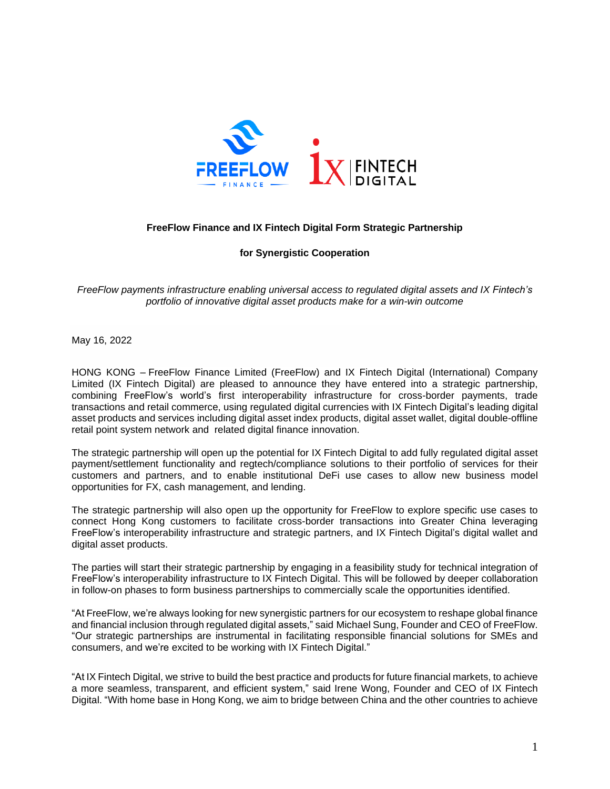

## **FreeFlow Finance and IX Fintech Digital Form Strategic Partnership**

**for Synergistic Cooperation**

*FreeFlow payments infrastructure enabling universal access to regulated digital assets and IX Fintech's portfolio of innovative digital asset products make for a win-win outcome*

May 16, 2022

HONG KONG – FreeFlow Finance Limited (FreeFlow) and IX Fintech Digital (International) Company Limited (IX Fintech Digital) are pleased to announce they have entered into a strategic partnership, combining FreeFlow's world's first interoperability infrastructure for cross-border payments, trade transactions and retail commerce, using regulated digital currencies with IX Fintech Digital's leading digital asset products and services including digital asset index products, digital asset wallet, digital double-offline retail point system network and related digital finance innovation.

The strategic partnership will open up the potential for IX Fintech Digital to add fully regulated digital asset payment/settlement functionality and regtech/compliance solutions to their portfolio of services for their customers and partners, and to enable institutional DeFi use cases to allow new business model opportunities for FX, cash management, and lending.

The strategic partnership will also open up the opportunity for FreeFlow to explore specific use cases to connect Hong Kong customers to facilitate cross-border transactions into Greater China leveraging FreeFlow's interoperability infrastructure and strategic partners, and IX Fintech Digital's digital wallet and digital asset products.

The parties will start their strategic partnership by engaging in a feasibility study for technical integration of FreeFlow's interoperability infrastructure to IX Fintech Digital. This will be followed by deeper collaboration in follow-on phases to form business partnerships to commercially scale the opportunities identified.

"At FreeFlow, we're always looking for new synergistic partners for our ecosystem to reshape global finance and financial inclusion through regulated digital assets," said Michael Sung, Founder and CEO of FreeFlow. "Our strategic partnerships are instrumental in facilitating responsible financial solutions for SMEs and consumers, and we're excited to be working with IX Fintech Digital."

"At IX Fintech Digital, we strive to build the best practice and products for future financial markets, to achieve a more seamless, transparent, and efficient system," said Irene Wong, Founder and CEO of IX Fintech Digital. "With home base in Hong Kong, we aim to bridge between China and the other countries to achieve